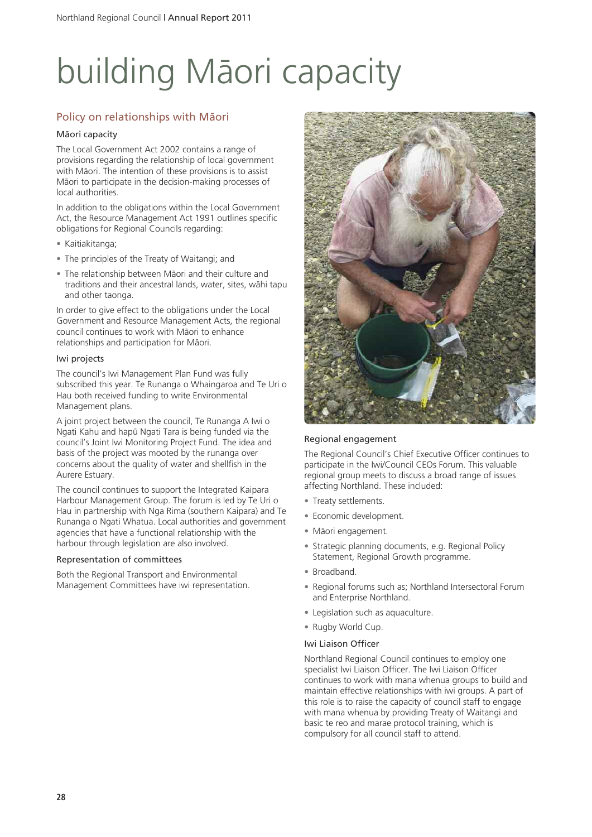# building Mäori capacity

#### Policy on relationships with Mäori

#### Mäori capacity

The Local Government Act 2002 contains a range of provisions regarding the relationship of local government with Mäori. The intention of these provisions is to assist Mäori to participate in the decision-making processes of local authorities.

In addition to the obligations within the Local Government Act, the Resource Management Act 1991 outlines specific obligations for Regional Councils regarding:

- Kaitiakitanga;
- The principles of the Treaty of Waitangi; and
- The relationship between Mäori and their culture and traditions and their ancestral lands, water, sites, wähi tapu and other taonga.

In order to give effect to the obligations under the Local Government and Resource Management Acts, the regional council continues to work with Mäori to enhance relationships and participation for Mäori.

#### Iwi projects

The council's Iwi Management Plan Fund was fully subscribed this year. Te Runanga o Whaingaroa and Te Uri o Hau both received funding to write Environmental Management plans.

A joint project between the council, Te Runanga A Iwi o Ngati Kahu and hapü Ngati Tara is being funded via the council's Joint Iwi Monitoring Project Fund. The idea and basis of the project was mooted by the runanga over concerns about the quality of water and shellfish in the Aurere Estuary.

The council continues to support the Integrated Kaipara Harbour Management Group. The forum is led by Te Uri o Hau in partnership with Nga Rima (southern Kaipara) and Te Runanga o Ngati Whatua. Local authorities and government agencies that have a functional relationship with the harbour through legislation are also involved.

#### Representation of committees

Both the Regional Transport and Environmental Management Committees have iwi representation.



#### Regional engagement

The Regional Council's Chief Executive Officer continues to participate in the Iwi/Council CEOs Forum. This valuable regional group meets to discuss a broad range of issues affecting Northland. These included:

- Treaty settlements.
- Economic development.
- Mäori engagement.
- Strategic planning documents, e.g. Regional Policy Statement, Regional Growth programme.
- Broadband.
- Regional forums such as: Northland Intersectoral Forum and Enterprise Northland.
- Legislation such as aquaculture.
- Rugby World Cup.

#### Iwi Liaison Officer

Northland Regional Council continues to employ one specialist Iwi Liaison Officer. The Iwi Liaison Officer continues to work with mana whenua groups to build and maintain effective relationships with iwi groups. A part of this role is to raise the capacity of council staff to engage with mana whenua by providing Treaty of Waitangi and basic te reo and marae protocol training, which is compulsory for all council staff to attend.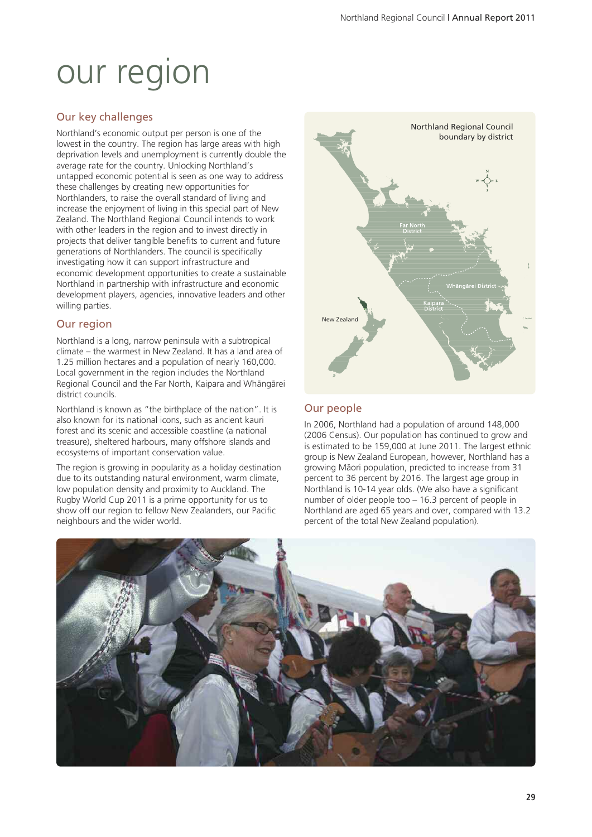## our region

#### Our key challenges

Northland's economic output per person is one of the lowest in the country. The region has large areas with high deprivation levels and unemployment is currently double the average rate for the country. Unlocking Northland's untapped economic potential is seen as one way to address these challenges by creating new opportunities for Northlanders, to raise the overall standard of living and increase the enjoyment of living in this special part of New Zealand. The Northland Regional Council intends to work with other leaders in the region and to invest directly in projects that deliver tangible benefits to current and future generations of Northlanders. The council is specifically investigating how it can support infrastructure and economic development opportunities to create a sustainable Northland in partnership with infrastructure and economic development players, agencies, innovative leaders and other willing parties.

#### Our region

Northland is a long, narrow peninsula with a subtropical climate – the warmest in New Zealand. It has a land area of 1.25 million hectares and a population of nearly 160,000. Local government in the region includes the Northland Regional Council and the Far North, Kaipara and Whängärei district councils.

Northland is known as "the birthplace of the nation". It is also known for its national icons, such as ancient kauri forest and its scenic and accessible coastline (a national treasure), sheltered harbours, many offshore islands and ecosystems of important conservation value.

The region is growing in popularity as a holiday destination due to its outstanding natural environment, warm climate, low population density and proximity to Auckland. The Rugby World Cup 2011 is a prime opportunity for us to show off our region to fellow New Zealanders, our Pacific neighbours and the wider world.



#### Our people

In 2006, Northland had a population of around 148,000 (2006 Census). Our population has continued to grow and is estimated to be 159,000 at June 2011. The largest ethnic group is New Zealand European, however, Northland has a growing Mäori population, predicted to increase from 31 percent to 36 percent by 2016. The largest age group in Northland is 10-14 year olds. (We also have a significant number of older people too – 16.3 percent of people in Northland are aged 65 years and over, compared with 13.2 percent of the total New Zealand population).

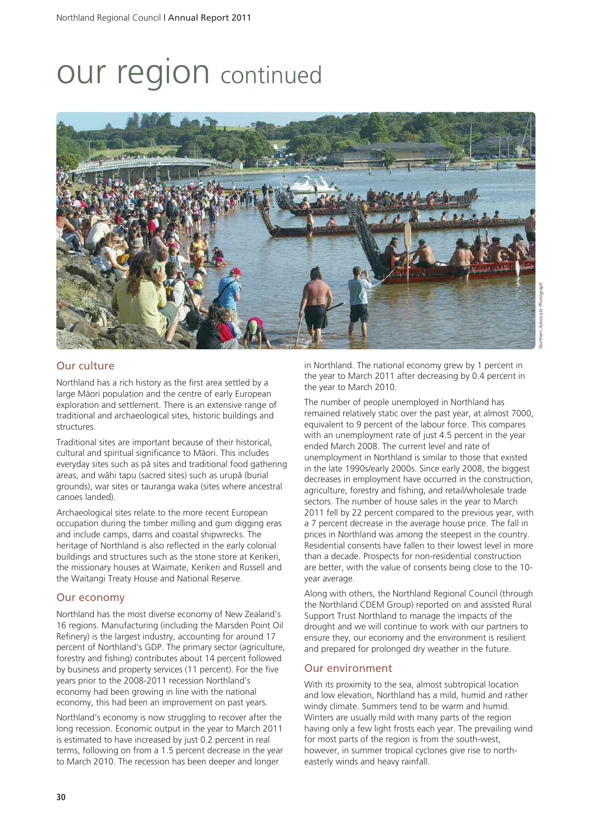### our region continued



#### Our culture

Northland has a rich history as the first area settled by a large Mäori population and the centre of early European exploration and settlement. There is an extensive range of traditional and archaeological sites, historic buildings and structures.

Traditional sites are important because of their historical, cultural and spiritual significance to Mäori. This includes everyday sites such as pä sites and traditional food gathering areas, and wähi tapu (sacred sites) such as urupä (burial grounds), war sites or tauranga waka (sites where ancestral canoes landed).

Archaeological sites relate to the more recent European occupation during the timber milling and gum digging eras and include camps, dams and coastal shipwrecks. The heritage of Northland is also reflected in the early colonial buildings and structures such as the stone store at Kerikeri, the missionary houses at Waimate, Kerikeri and Russell and the Waitangi Treaty House and National Reserve.

#### Our economy

Northland has the most diverse economy of New Zealand's 16 regions. Manufacturing (including the Marsden Point Oil Refinery) is the largest industry, accounting for around 17 percent of Northland's GDP. The primary sector (agriculture, forestry and fishing) contributes about 14 percent followed by business and property services (11 percent). For the five years prior to the 2008-2011 recession Northland's economy had been growing in line with the national economy, this had been an improvement on past years.

Northland's economy is now struggling to recover after the long recession. Economic output in the year to March 2011 is estimated to have increased by just 0.2 percent in real terms, following on from a 1.5 percent decrease in the year to March 2010. The recession has been deeper and longer

in Northland. The national economy grew by 1 percent in the year to March 2011 after decreasing by 0.4 percent in the year to March 2010.

The number of people unemployed in Northland has remained relatively static over the past year, at almost 7000, equivalent to 9 percent of the labour force. This compares with an unemployment rate of just 4.5 percent in the year ended March 2008. The current level and rate of unemployment in Northland is similar to those that existed in the late 1990s/early 2000s. Since early 2008, the biggest decreases in employment have occurred in the construction, agriculture, forestry and fishing, and retail/wholesale trade sectors. The number of house sales in the year to March 2011 fell by 22 percent compared to the previous year, with a 7 percent decrease in the average house price. The fall in prices in Northland was among the steepest in the country. Residential consents have fallen to their lowest level in more than a decade. Prospects for non-residential construction are better, with the value of consents being close to the 10 year average.

Along with others, the Northland Regional Council (through the Northland CDEM Group) reported on and assisted Rural Support Trust Northland to manage the impacts of the drought and we will continue to work with our partners to ensure they, our economy and the environment is resilient and prepared for prolonged dry weather in the future.

#### Our environment

With its proximity to the sea, almost subtropical location and low elevation, Northland has a mild, humid and rather windy climate. Summers tend to be warm and humid. Winters are usually mild with many parts of the region having only a few light frosts each year. The prevailing wind for most parts of the region is from the south-west, however, in summer tropical cyclones give rise to northeasterly winds and heavy rainfall.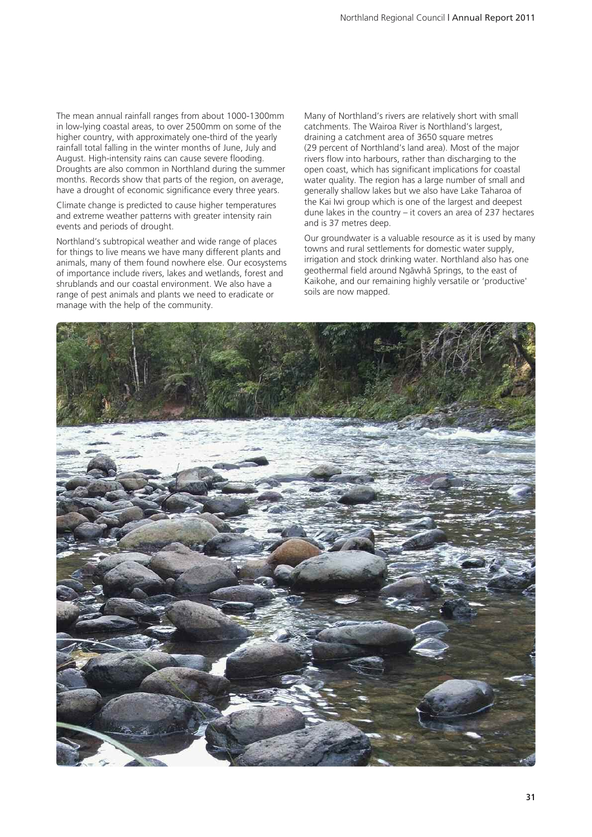The mean annual rainfall ranges from about 1000-1300mm in low-lying coastal areas, to over 2500mm on some of the higher country, with approximately one-third of the yearly rainfall total falling in the winter months of June, July and August. High-intensity rains can cause severe flooding. Droughts are also common in Northland during the summer months. Records show that parts of the region, on average, have a drought of economic significance every three years.

Climate change is predicted to cause higher temperatures and extreme weather patterns with greater intensity rain events and periods of drought.

Northland's subtropical weather and wide range of places for things to live means we have many different plants and animals, many of them found nowhere else. Our ecosystems of importance include rivers, lakes and wetlands, forest and shrublands and our coastal environment. We also have a range of pest animals and plants we need to eradicate or manage with the help of the community.

Many of Northland's rivers are relatively short with small catchments. The Wairoa River is Northland's largest, draining a catchment area of 3650 square metres (29 percent of Northland's land area). Most of the major rivers flow into harbours, rather than discharging to the open coast, which has significant implications for coastal water quality. The region has a large number of small and generally shallow lakes but we also have Lake Taharoa of the Kai Iwi group which is one of the largest and deepest dune lakes in the country – it covers an area of 237 hectares and is 37 metres deep.

Our groundwater is a valuable resource as it is used by many towns and rural settlements for domestic water supply, irrigation and stock drinking water. Northland also has one geothermal field around Ngäwhä Springs, to the east of Kaikohe, and our remaining highly versatile or 'productive' soils are now mapped.

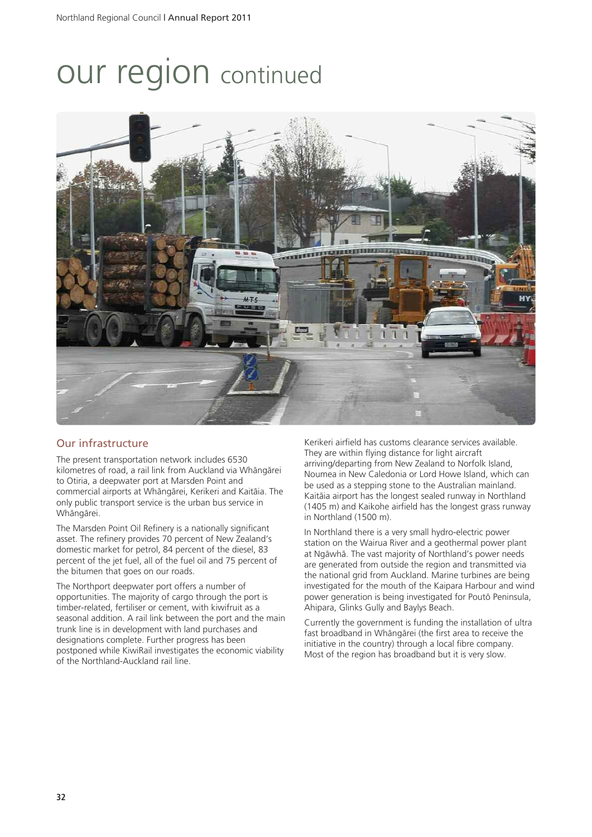## our region continued



#### Our infrastructure

The present transportation network includes 6530 kilometres of road, a rail link from Auckland via Whängärei to Otiria, a deepwater port at Marsden Point and commercial airports at Whängärei, Kerikeri and Kaitäia. The only public transport service is the urban bus service in Whängärei.

The Marsden Point Oil Refinery is a nationally significant asset. The refinery provides 70 percent of New Zealand's domestic market for petrol, 84 percent of the diesel, 83 percent of the jet fuel, all of the fuel oil and 75 percent of the bitumen that goes on our roads.

The Northport deepwater port offers a number of opportunities. The majority of cargo through the port is timber-related, fertiliser or cement, with kiwifruit as a seasonal addition. A rail link between the port and the main trunk line is in development with land purchases and designations complete. Further progress has been postponed while KiwiRail investigates the economic viability of the Northland-Auckland rail line.

Kerikeri airfield has customs clearance services available. They are within flying distance for light aircraft arriving/departing from New Zealand to Norfolk Island, Noumea in New Caledonia or Lord Howe Island, which can be used as a stepping stone to the Australian mainland. Kaitäia airport has the longest sealed runway in Northland (1405 m) and Kaikohe airfield has the longest grass runway in Northland (1500 m).

In Northland there is a very small hydro-electric power station on the Wairua River and a geothermal power plant at Ngäwhä. The vast majority of Northland's power needs are generated from outside the region and transmitted via the national grid from Auckland. Marine turbines are being investigated for the mouth of the Kaipara Harbour and wind power generation is being investigated for Poutö Peninsula, Ahipara, Glinks Gully and Baylys Beach.

Currently the government is funding the installation of ultra fast broadband in Whängärei (the first area to receive the initiative in the country) through a local fibre company. Most of the region has broadband but it is very slow.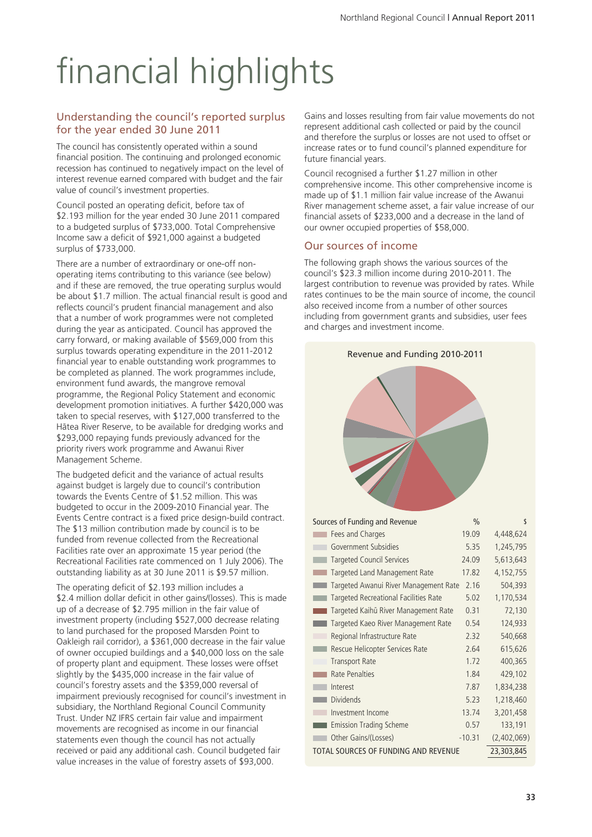# financial highlights

#### Understanding the council's reported surplus for the year ended 30 June 2011

The council has consistently operated within a sound financial position. The continuing and prolonged economic recession has continued to negatively impact on the level of interest revenue earned compared with budget and the fair value of council's investment properties.

Council posted an operating deficit, before tax of \$2.193 million for the year ended 30 June 2011 compared to a budgeted surplus of \$733,000. Total Comprehensive Income saw a deficit of \$921,000 against a budgeted surplus of \$733,000.

There are a number of extraordinary or one-off nonoperating items contributing to this variance (see below) and if these are removed, the true operating surplus would be about \$1.7 million. The actual financial result is good and reflects council's prudent financial management and also that a number of work programmes were not completed during the year as anticipated. Council has approved the carry forward, or making available of \$569,000 from this surplus towards operating expenditure in the 2011-2012 financial year to enable outstanding work programmes to be completed as planned. The work programmes include, environment fund awards, the mangrove removal programme, the Regional Policy Statement and economic development promotion initiatives. A further \$420,000 was taken to special reserves, with \$127,000 transferred to the Hätea River Reserve, to be available for dredging works and \$293,000 repaying funds previously advanced for the priority rivers work programme and Awanui River Management Scheme.

The budgeted deficit and the variance of actual results against budget is largely due to council's contribution towards the Events Centre of \$1.52 million. This was budgeted to occur in the 2009-2010 Financial year. The Events Centre contract is a fixed price design-build contract. The \$13 million contribution made by council is to be funded from revenue collected from the Recreational Facilities rate over an approximate 15 year period (the Recreational Facilities rate commenced on 1 July 2006). The outstanding liability as at 30 June 2011 is \$9.57 million.

The operating deficit of \$2.193 million includes a \$2.4 million dollar deficit in other gains/(losses). This is made up of a decrease of \$2.795 million in the fair value of investment property (including \$527,000 decrease relating to land purchased for the proposed Marsden Point to Oakleigh rail corridor), a \$361,000 decrease in the fair value of owner occupied buildings and a \$40,000 loss on the sale of property plant and equipment. These losses were offset slightly by the \$435,000 increase in the fair value of council's forestry assets and the \$359,000 reversal of impairment previously recognised for council's investment in subsidiary, the Northland Regional Council Community Trust. Under NZ IFRS certain fair value and impairment movements are recognised as income in our financial statements even though the council has not actually received or paid any additional cash. Council budgeted fair value increases in the value of forestry assets of \$93,000.

Gains and losses resulting from fair value movements do not represent additional cash collected or paid by the council and therefore the surplus or losses are not used to offset or increase rates or to fund council's planned expenditure for future financial years.

Council recognised a further \$1.27 million in other comprehensive income. This other comprehensive income is made up of \$1.1 million fair value increase of the Awanui River management scheme asset, a fair value increase of our financial assets of \$233,000 and a decrease in the land of our owner occupied properties of \$58,000.

#### Our sources of income

The following graph shows the various sources of the council's \$23.3 million income during 2010-2011. The largest contribution to revenue was provided by rates. While rates continues to be the main source of income, the council also received income from a number of other sources including from government grants and subsidies, user fees and charges and investment income.

| Revenue and Funding 2010-2011         |               |             |
|---------------------------------------|---------------|-------------|
|                                       |               |             |
| Sources of Funding and Revenue        | $\frac{0}{0}$ | \$          |
| Fees and Charges                      | 19.09         | 4,448,624   |
| Government Subsidies                  | 5.35          | 1,245,795   |
| Targeted Council Services             | 24.09         | 5,613,643   |
| Targeted Land Management Rate         | 17.82         | 4,152,755   |
| Targeted Awanui River Management Rate | 2.16          | 504,393     |
| Targeted Recreational Facilities Rate | 5.02          | 1,170,534   |
| Targeted Kaihū River Management Rate  | 0.31          | 72,130      |
| Targeted Kaeo River Management Rate   | 0.54          | 124,933     |
| Regional Infrastructure Rate          | 2.32          | 540,668     |
| Rescue Helicopter Services Rate       | 2.64          | 615,626     |
| <b>Transport Rate</b>                 | 1.72          | 400,365     |
| Rate Penalties                        | 1.84          | 429,102     |
| Interest                              | 7.87          | 1,834,238   |
| Dividends                             | 5.23          | 1,218,460   |
| Investment Income                     | 13.74         | 3,201,458   |
| <b>Emission Trading Scheme</b><br>٠   | 0.57          | 133,191     |
| Other Gains/(Losses)                  | $-10.31$      | (2,402,069) |
| TOTAL SOURCES OF FUNDING AND REVENUE  |               | 23,303,845  |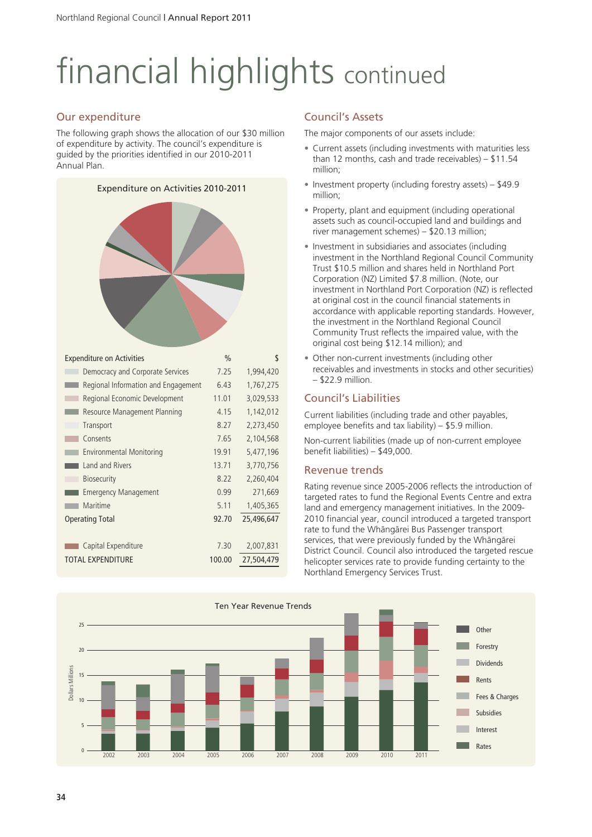# financial highlights continued

#### Our expenditure

The following graph shows the allocation of our \$30 million of expenditure by activity. The council's expenditure is guided by the priorities identified in our 2010-2011 Annual Plan.



#### Council's Assets

The major components of our assets include:

- Current assets (including investments with maturities less than 12 months, cash and trade receivables) – \$11.54 million;
- Investment property (including forestry assets) \$49.9 million;
- Property, plant and equipment (including operational assets such as council-occupied land and buildings and river management schemes) – \$20.13 million;
- Investment in subsidiaries and associates (including investment in the Northland Regional Council Community Trust \$10.5 million and shares held in Northland Port Corporation (NZ) Limited \$7.8 million. (Note, our investment in Northland Port Corporation (NZ) is reflected at original cost in the council financial statements in accordance with applicable reporting standards. However, the investment in the Northland Regional Council Community Trust reflects the impaired value, with the original cost being \$12.14 million); and
- Other non-current investments (including other receivables and investments in stocks and other securities) – \$22.9 million.

#### Council's Liabilities

Current liabilities (including trade and other payables, employee benefits and tax liability) – \$5.9 million.

Non-current liabilities (made up of non-current employee benefit liabilities) – \$49,000.

#### Revenue trends

Rating revenue since 2005-2006 reflects the introduction of targeted rates to fund the Regional Events Centre and extra land and emergency management initiatives. In the 2009- 2010 financial year, council introduced a targeted transport rate to fund the Whängärei Bus Passenger transport services, that were previously funded by the Whängärei District Council. Council also introduced the targeted rescue helicopter services rate to provide funding certainty to the Northland Emergency Services Trust.

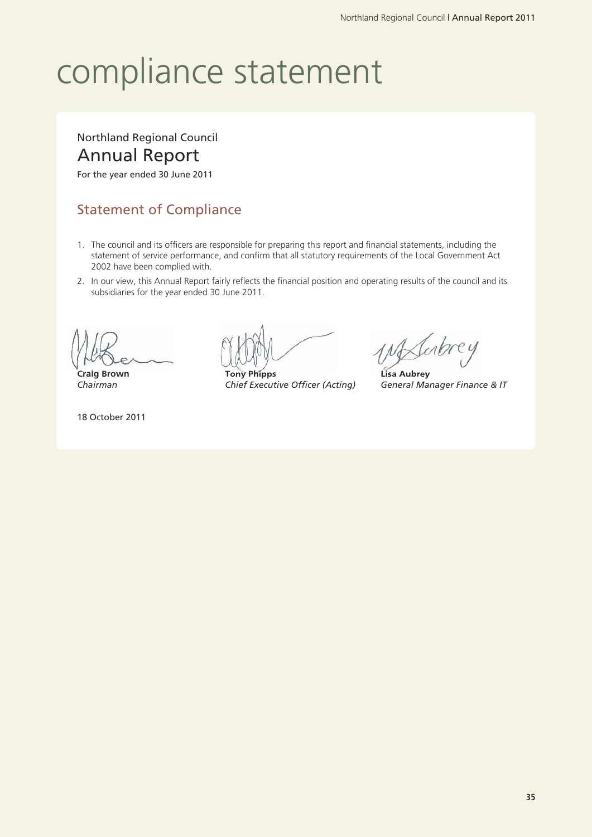## compliance statement

### Northland Regional Council Annual Report

For the year ended 30 June 2011

### Statement of Compliance

- 1. The council and its officers are responsible for preparing this report and financial statements, including the statement of service performance, and confirm that all statutory requirements of the Local Government Act 2002 have been complied with.
- 2. In our view, this Annual Report fairly reflects the financial position and operating results of the council and its subsidiaries for the year ended 30 June 2011.

18 October 2011

**Craig Brown Tony Phipps Lisa Aubrey** *Chairman Chief Executive Officer (Acting) General Manager Finance & IT*

Mahrey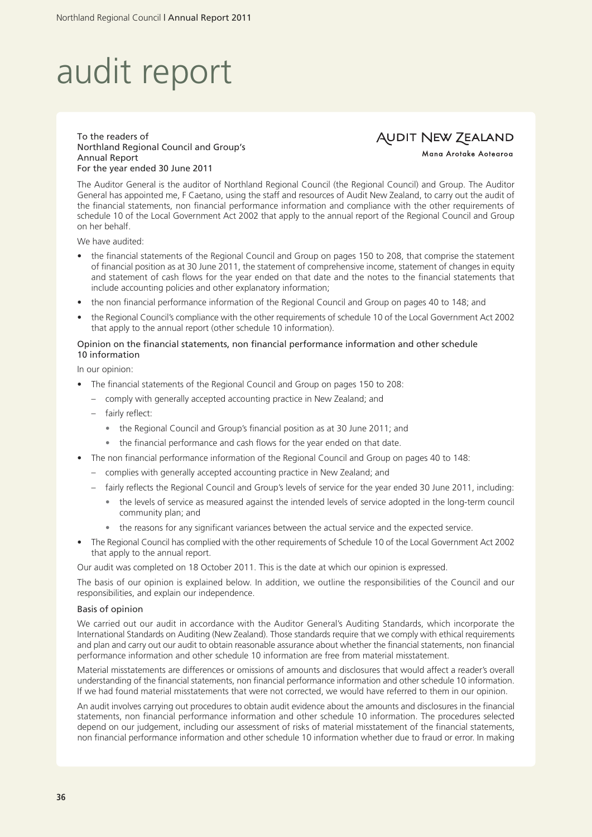## audit report

#### To the readers of Northland Regional Council and Group's Annual Report For the year ended 30 June 2011

#### **AUDIT NEW ZEALAND**

Mana Arotake Aotearoa

The Auditor General is the auditor of Northland Regional Council (the Regional Council) and Group. The Auditor General has appointed me, F Caetano, using the staff and resources of Audit New Zealand, to carry out the audit of the financial statements, non financial performance information and compliance with the other requirements of schedule 10 of the Local Government Act 2002 that apply to the annual report of the Regional Council and Group on her behalf.

We have audited:

- the financial statements of the Regional Council and Group on pages 150 to 208, that comprise the statement of financial position as at 30 June 2011, the statement of comprehensive income, statement of changes in equity and statement of cash flows for the year ended on that date and the notes to the financial statements that include accounting policies and other explanatory information;
- the non financial performance information of the Regional Council and Group on pages 40 to 148; and
- the Regional Council's compliance with the other requirements of schedule 10 of the Local Government Act 2002 that apply to the annual report (other schedule 10 information).

#### Opinion on the financial statements, non financial performance information and other schedule 10 information

In our opinion:

- The financial statements of the Regional Council and Group on pages 150 to 208:
	- comply with generally accepted accounting practice in New Zealand; and
	- fairly reflect:
		- the Regional Council and Group's financial position as at 30 June 2011; and
		- the financial performance and cash flows for the year ended on that date.
- The non financial performance information of the Regional Council and Group on pages 40 to 148:
	- complies with generally accepted accounting practice in New Zealand; and
	- fairly reflects the Regional Council and Group's levels of service for the year ended 30 June 2011, including:
		- the levels of service as measured against the intended levels of service adopted in the long-term council community plan; and
		- the reasons for any significant variances between the actual service and the expected service.
- The Regional Council has complied with the other requirements of Schedule 10 of the Local Government Act 2002 that apply to the annual report.

Our audit was completed on 18 October 2011. This is the date at which our opinion is expressed.

The basis of our opinion is explained below. In addition, we outline the responsibilities of the Council and our responsibilities, and explain our independence.

#### Basis of opinion

We carried out our audit in accordance with the Auditor General's Auditing Standards, which incorporate the International Standards on Auditing (New Zealand). Those standards require that we comply with ethical requirements and plan and carry out our audit to obtain reasonable assurance about whether the financial statements, non financial performance information and other schedule 10 information are free from material misstatement.

Material misstatements are differences or omissions of amounts and disclosures that would affect a reader's overall understanding of the financial statements, non financial performance information and other schedule 10 information. If we had found material misstatements that were not corrected, we would have referred to them in our opinion.

An audit involves carrying out procedures to obtain audit evidence about the amounts and disclosures in the financial statements, non financial performance information and other schedule 10 information. The procedures selected depend on our judgement, including our assessment of risks of material misstatement of the financial statements, non financial performance information and other schedule 10 information whether due to fraud or error. In making